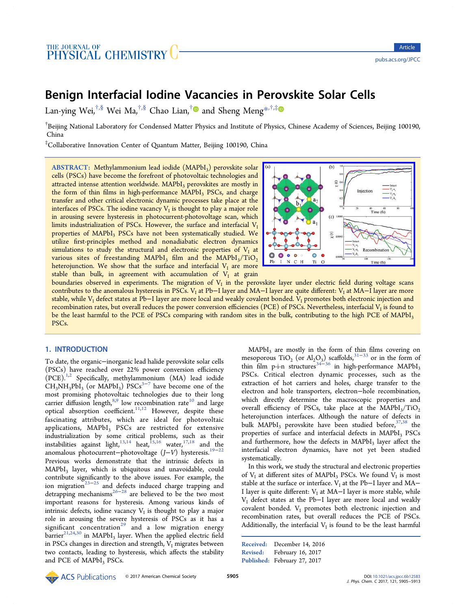# Benign Interfacial Iodine Vacancies in Perovskite Solar Cells

Lan-ying Wei,<sup>†,§</sup> Wei Ma,<sup>†,§</sup> Chao Lian,<sup>†</sup>● and Sheng Meng<sup>\*,†,‡</sup>●

<sup>†</sup>Beijing National [Lab](#page-6-0)oratory for [Co](#page-6-0)ndensed Matter [P](#page-6-0)hysics and Institute of [Ph](#page-6-0)ys[ics](#page-6-0), Chinese Academy of Sciences, Beijing 100190, China

‡ Collaborative Innovation Center of Quantum Matter, Beijing 100190, China

ABSTRACT: Methylammonium lead iodide (MAPbI<sub>3</sub>) perovskite solar cells (PSCs) have become the forefront of photovoltaic technologies and attracted intense attention worldwide. MAPbI<sub>3</sub> perovskites are mostly in the form of thin films in high-performance  $MAPbI<sub>3</sub> PSCs$ , and charge transfer and other critical electronic dynamic processes take place at the interfaces of PSCs. The iodine vacancy  $V<sub>I</sub>$  is thought to play a major role in arousing severe hysteresis in photocurrent-photovoltage scan, which limits industrialization of PSCs. However, the surface and interfacial  $V_I$ properties of MAPbI<sub>3</sub> PSCs have not been systematically studied. We utilize first-principles method and nonadiabatic electron dynamics simulations to study the structural and electronic properties of  $V_I$  at various sites of freestanding MAPbI<sub>3</sub> film and the MAPbI<sub>3</sub>/TiO<sub>2</sub> heterojunction. We show that the surface and interfacial  $V<sub>I</sub>$  are more stable than bulk, in agreement with accumulation of  $V<sub>I</sub>$  at grain



boundaries observed in experiments. The migration of  $V<sub>I</sub>$  in the perovskite layer under electric fi[eld during voltage scans](http://pubs.acs.org/action/showImage?doi=10.1021/acs.jpcc.6b12583&iName=master.img-000.jpg&w=199&h=134) contributes to the anomalous hysteresis in PSCs. V<sub>I</sub> at Pb−I layer and MA−I layer are quite different: V<sub>I</sub> at MA−I layer are more stable, while V<sub>I</sub> defect states at Pb−I layer are more local and weakly covalent bonded. V<sub>I</sub> promotes both electronic injection and recombination rates, but overall reduces the power conversion efficiencies (PCE) of PSCs. Nevertheless, interfacial  $V<sub>1</sub>$  is found to be the least harmful to the PCE of PSCs comparing with random sites in the bulk, contributing to the high PCE of MAPbI<sub>3</sub> PSCs.

## 1. INTRODUCTION

To date, the organic−inorganic lead halide perovskite solar cells (PSCs) have reached over 22% power conversion efficiency  $( PCE).<sup>1,2</sup>$  Specifically, methylammonium (MA) lead iodide  $CH_3NH_3PbI_3$  (or MAPbI<sub>3</sub>) PSCs<sup>3-7</sup> have become one of the most [pro](#page-6-0)mising photovoltaic technologies due to their long carrier diffusion length, $8,9$  low re[com](#page-6-0)bination rate<sup>10</sup> and large optical absorption coefficient.<sup>11,12</sup> However, despite these fascinating attributes, [w](#page-6-0)hich are ideal for [ph](#page-7-0)otovoltaic applications, MAPbI<sub>3</sub> PSCs [are](#page-7-0) restricted for extensive industrialization by some critical problems, such as their instabilities against light, $^{13,14}$  heat, $^{15,16}$  water, $^{17,18}$  and the anomalous photocurrent−photovoltage (J−V) hysteresis.19−<sup>22</sup> Previous works demons[trate](#page-7-0) that [the](#page-7-0) intrin[sic d](#page-7-0)efects in  $MAPbI<sub>3</sub>$  layer, which is ubiquitous and unavoidable, [could](#page-7-0) contribute significantly to the above issues. For example, the ion migration<sup>23–25</sup> and defects induced charge trapping and detrapping mechanisms<sup>26−28</sup> are believed to be the two most important re[asons](#page-7-0) for hysteresis. Among various kinds of intrinsic defects, iodine [vacan](#page-7-0)cy  $V_I$  is thought to play a major role in arousing the severe hysteresis of PSCs as it has a significant concentration<sup>29</sup> and a low migration energy barrier $^{21,24,30}$  in MAPbI<sub>3</sub> layer. When the applied electric field in PSCs changes in directi[on](#page-7-0) and strength,  $V_I$  migrates between two c[ontacts](#page-7-0), leading to hysteresis, which affects the stability and PCE of MAPbI<sub>3</sub> PSCs.

 $MAPbI<sub>3</sub>$  are mostly in the form of thin films covering on mesoporous TiO<sub>2</sub> (or Al<sub>2</sub>O<sub>3</sub>) scaffolds,<sup>31–33</sup> or in the form of thin film p-i-n structures<sup>34–36</sup> in high-performance MAPbI<sub>3</sub> PSCs. Critical electron dynamic p[rocess](#page-7-0)es, such as the extraction of hot carriers [and](#page-7-0) holes, charge transfer to the electron and hole transporters, electron−hole recombination, which directly determine the macroscopic properties and overall efficiency of PSCs, take place at the  $MAPbI_3/TiO_2$ heterojunction interfaces. Although the nature of defects in bulk MAPbI<sub>3</sub> perovskite have been studied before,  $37,38$  the properties of surface and interfacial defects in MAPbI<sub>3</sub> PSCs and furthermore, how the def[ect](#page-7-0)s in  $MAPbI<sub>3</sub>$  layer a[ff](#page-7-0)ect the interfacial electron dynamics, have not yet been studied systematically.

In this work, we study the structural and electronic properties of  $V_I$  at different sites of MAPbI<sub>3</sub> PSCs. We found  $V_I$  is most stable at the surface or interface.  $V<sub>I</sub>$  at the Pb−I layer and MA− I layer is quite different:  $V<sub>I</sub>$  at MA–I layer is more stable, while VI defect states at the Pb−I layer are more local and weakly covalent bonded. V<sub>I</sub> promotes both electronic injection and recombination rates, but overall reduces the PCE of PSCs. Additionally, the interfacial  $V<sub>I</sub>$  is found to be the least harmful

Received: December 14, 2016 Revised: February 16, 2017 Published: February 27, 2017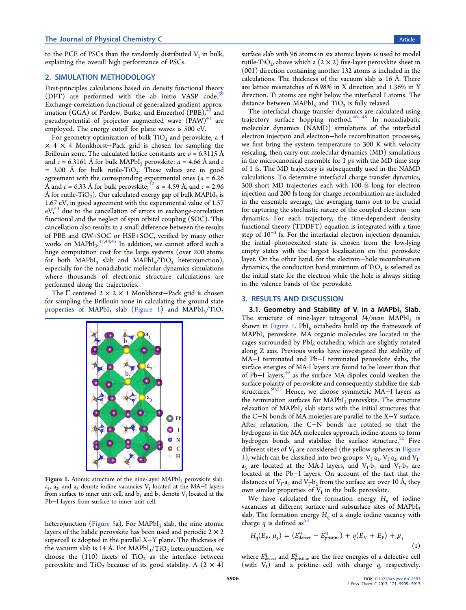to the PCE of PSCs than the randomly distributed  $V<sub>I</sub>$  in bulk, explaining the overall high performance of PSCs.

#### 2. SIMULATION METHODOLOGY

First-principles calculations based on density functional theory  $(DFT)$  are performed with the ab initio VASP code.<sup>39</sup> Exchange-correlation functional of generalized gradient approximation (GGA) of Perdew, Burke, a[nd](#page-7-0) Ernzerhof (PBE), $40$  and pseudopotential of projector augmented wave  $(PAW)^{41}$  are employed. The energy cutoff for plane waves is 500 eV.

For geometry optimization of bulk  $TiO<sub>2</sub>$  and perovski[te,](#page-7-0) a 4 × 4 × 4 Monkhorst−Pack grid is chosen for sampling the Brillouin zone. The calculated lattice constants are  $a = 6.3115 \text{ Å}$ and  $c = 6.3161$  Å for bulk MAPbI<sub>3</sub> perovskite;  $a = 4.66$  Å and c = 3.00 Å for bulk rutile-TiO<sub>2</sub>. These values are in good agreement with the corresponding experimental ones ( $a = 6.26$ ) Å and  $c = 6.33$  Å for bulk perovskite;<sup>42</sup>  $a = 4.59$  Å, and  $c = 2.96$ Å for rutile-TiO<sub>2</sub>). Our calculated energy gap of bulk MAPbI<sub>3</sub> is 1.67 eV, in good agreement with the [ex](#page-7-0)perimental value of 1.57  $eV<sub>1</sub><sup>43</sup>$  due to the cancellation of errors in exchange-correlation functional and the neglect of spin orbital coupling (SOC). This ca[nce](#page-7-0)llation also results in a small difference between the results of PBE and GW+SOC or HSE+SOC, verified by many other works on  $\text{MAPbl}_3$ ,  $^{37,44,45}$  In addition, we cannot afford such a huge computation cost for the large systems (over 200 atoms for both MAPbI<sub>3</sub> [slab](#page-7-0) and MAPbI<sub>3</sub>/TiO<sub>2</sub> heterojunction), especially for the nonadiabatic molecular dynamics simulations where thousands of electronic structure calculations are performed along the trajectories.

The Γ centered 2 × 2 × 1 Monkhorst−Pack grid is chosen for sampling the Brillouin zone in calculating the ground state properties of MAPbI<sub>3</sub> slab (Figure 1) and MAPbI<sub>3</sub>/TiO<sub>2</sub>



Figure 1. Atomic structure of the nine-layer  $MAPbI<sub>3</sub>$  perovskite slab.  $a_1$ ,  $a_2$ , and  $a_3$  denote iodine vacancies V<sub>I</sub> located at the MA–I layers from surface to inner unit cell, and  $b_1$  and  $b_2$  denote  $V_I$  located at the Pb−I layers from surface to inner unit cell.

heterojunction (Figure 5a). For  $MAPbI<sub>3</sub>$  slab, the nine atomic layers of the halide perovskite has been used and periodic  $2 \times 2$ supercell is ado[pted in th](#page-4-0)e parallel X−Y plane. The thickness of the vacuum slab is 14 Å. For MAPbI<sub>3</sub>/TiO<sub>2</sub> heterojunction, we choose the  $(110)$  facets of TiO<sub>2</sub> as the interface between perovskite and TiO<sub>2</sub> because of its good stability. A  $(2 \times 4)$ 

surface slab with 96 atoms in six atomic layers is used to model rutile-TiO<sub>2</sub>, above which a  $(2 \times 2)$  five-layer perovskite sheet in (001) direction containing another 132 atoms is included in the calculations. The thickness of the vacuum slab is 16 Å. There are lattice mismatches of 6.98% in X direction and 1.36% in Y direction. Ti atoms are right below the interfacial I atoms. The distance between MAPbI<sub>3</sub> and TiO<sub>2</sub> is fully relaxed.

The interfacial charge transfer dynamics are calculated using trajectory surface hopping method.46−<sup>48</sup> In nonadiabatic molecular dynamics (NAMD) simulations of the interfacial electron injection and electron−hole r[ecomb](#page-7-0)ination processes, we first bring the system temperature to 300 K with velocity rescaling, then carry out molecular dynamics (MD) simulations in the microcanonical ensemble for 1 ps with the MD time step of 1 fs. The MD trajectory is subsequently used in the NAMD calculations. To determine interfacial charge transfer dynamics, 300 short MD trajectories each with 100 fs long for electron injection and 200 fs long for charge recombination are included in the ensemble average, the averaging turns out to be crucial for capturing the stochastic nature of the coupled electron−ion dynamics. For each trajectory, the time-dependent density functional theory (TDDFT) equation is integrated with a time step of  $10^{-3}$  fs. For the interfacial electron injection dynamics, the initial photoexcited state is chosen from the low-lying empty states with the largest localization on the perovskite layer. On the other hand, for the electron−hole recombination dynamics, the conduction band minimum of  $TiO<sub>2</sub>$  is selected as the initial state for the electron while the hole is always sitting in the valence bands of the perovskite.

## 3. RESULTS AND DISCUSSION

3.1. Geometry and Stability of  $V_1$  in a MAPbI<sub>3</sub> Slab. The structure of nine-layer tetragonal  $I4/mcm$  MAPbI<sub>3</sub> is shown in Figure 1.  $PbI_6$  octahedra build up the framework of MAPbI<sub>3</sub> perovskite. MA organic molecules are located in the cages surrounded by  $PbI_6$  octahedra, which are slightly rotated along Z axis. Previous works have investigated the stability of MA−I terminated and Pb−I terminated perovskite slabs, the surface energies of MA-I layers are found to be lower than that of Pb−I layers,<sup>49</sup> as the surface MA dipoles could weaken the surface polarity of perovskite and consequently stabilize the slab structures.50,51 [H](#page-8-0)ence, we choose symmetric MA−I layers as the termination surfaces for MAPbI<sub>3</sub> perovskite. The structure relaxation [of M](#page-8-0)APbI<sub>3</sub> slab starts with the initial structures that the C−N bonds of MA moieties are parallel to the X−Y surface. After relaxation, the C−N bonds are rotated so that the hydrogens in the MA molecules approach iodine atoms to form hydrogen bonds and stabilize the surface structure.<sup>52</sup> Five different sites of  $V<sub>I</sub>$  are considered (the yellow spheres in Figure 1), which can be classified into two groups:  $V_I-a_I$ ,  $V_I-a_2$ , [an](#page-8-0)d  $V_I$  $a_3$  are located at the MA-I layers, and  $V_1-b_1$  and  $V_1-b_2$  are located at the Pb−I layers. On account of the fact that the distances of  $V_1$ -a<sub>3</sub> and  $V_1$ -b<sub>2</sub> from the surface are over 10 Å, they own similar properties of  $V_I$  in the bulk perovskite.

We have calculated the formation energy  $H<sub>a</sub>$  of iodine vacancies at different surface and subsurface sites of MAPbI<sub>3</sub> slab. The formation energy  $H_q$  of a single iodine vacancy with charge q is defined as  $53$ 

$$
H_{\rm q}(E_{\rm F}, \mu_{\rm I}) = (E_{\rm defect}^{\rm q} - E_{\rm pristine}^{\rm q}) + q(E_{\rm V} + E_{\rm F}) + \mu_{\rm I}
$$
\n(1)

where  $E_{\rm defect}^{\rm q}$  and  $E_{\rm pristine}^{\rm q}$  are the free energies of a defective cell (with  $V_I$ ) and a pristine cell with charge  $q$ , respectively.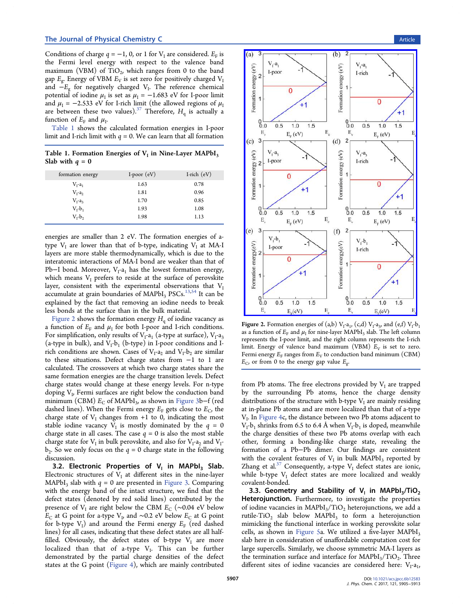Conditions of charge  $q = -1$ , 0, or 1 for  $V<sub>I</sub>$  are considered.  $E<sub>F</sub>$  is the Fermi level energy with respect to the valence band maximum (VBM) of  $TiO<sub>2</sub>$ , which ranges from 0 to the band gap  $E_g$ . Energy of VBM  $E_V$  is set zero for positively charged  $V_I$ and  $-E<sub>g</sub>$  for negatively charged V<sub>I</sub>. The reference chemical potential of iodine  $\mu_I$  is set as  $\mu_I = -1.683$  eV for I-poor limit and  $\mu_I = -2.533$  eV for I-rich limit (the allowed regions of  $\mu_I$ are between these two values).<sup>37</sup> Therefore,  $H<sub>a</sub>$  is actually a function of  $E_F$  and  $\mu_I$ .

Table 1 shows the calculate[d f](#page-7-0)ormation energies in I-poor limit and I-rich limit with  $q = 0$ . We can learn that all formation

Table 1. Formation Energies of  $V_I$  in Nine-Layer MAPbI<sub>3</sub> Slab with  $q = 0$ 

| formation energy | I-poor $(eV)$ | I-rich $(eV)$ |
|------------------|---------------|---------------|
| $V_I-a_I$        | 1.63          | 0.78          |
| $V_1-a_2$        | 1.81          | 0.96          |
| $V_I-a_3$        | 1.70          | 0.85          |
| $V_I-b_1$        | 1.93          | 1.08          |
| $V_t-b_2$        | 1.98          | 1.13          |

energies are smaller than 2 eV. The formation energies of atype  $V_I$  are lower than that of b-type, indicating  $V_I$  at MA-I layers are more stable thermodynamically, which is due to the interatomic interactions of MA-I bond are weaker than that of Pb–I bond. Moreover,  $V_I-a_I$  has the lowest formation energy, which means  $V_I$  prefers to reside at the surface of perovskite layer, consistent with the experimental observations that VI accumulate at grain boundaries of  $MAPbI<sub>3</sub> PSCs.$ <sup>13,54</sup> It can be explained by the fact that removing an iodine needs to break less bonds at the surface than in the bulk mater[ial.](#page-7-0)

Figure 2 shows the formation energy  $H<sub>a</sub>$  of iodine vacancy as a function of  $E_F$  and  $\mu_I$  for both I-poor and I-rich conditions. For simplification, only results of  $V_I-a_I$  (a-type at surface),  $V_I-a_3$ (a-type in bulk), and  $V_1-b_1$  (b-type) in I-poor conditions and Irich conditions are shown. Cases of  $V_1-a_2$  and  $V_1-b_2$  are similar to these situations. Defect charge states from −1 to 1 are calculated. The crossovers at which two charge states share the same formation energies are the charge transition levels. Defect charge states would change at these energy levels. For n-type doping  $V<sub>L</sub>$  Fermi surfaces are right below the conduction band minimum (CBM)  $E_C$  of MAPbI<sub>3</sub>, as shown in Figure 3b−f (red dashed lines). When the Fermi energy  $E_F$  gets close to  $E_C$ , the charge state of  $V_I$  changes from +1 to 0, in[dicating t](#page-3-0)he most stable iodine vacancy  $V_I$  is mostly dominated by the  $q = 0$ charge state in all cases. The case  $q = 0$  is also the most stable charge state for  $V_I$  in bulk perovskite, and also for  $V_I$ -a<sub>2</sub> and  $V_I$  $b_2$ . So we only focus on the  $q = 0$  charge state in the following discussion.

3.2. Electronic Properties of  $V_1$  in MAPbI<sub>3</sub> Slab. Electronic structures of  $V<sub>I</sub>$  at different sites in the nine-layer MAPbI<sub>3</sub> slab with  $q = 0$  are presented in Figure 3. Comparing with the energy band of the intact structure, we find that the defect states (denoted by red solid lines[\) contrib](#page-3-0)uted by the presence of V<sub>I</sub> are right below the CBM  $E_C$  (~0.04 eV below  $E_C$  at G point for a-type V<sub>V</sub> and ∼0.2 eV below  $E_C$  at G point for b-type  $V_I$ ) and around the Fermi energy  $E_F$  (red dashed lines) for all cases, indicating that these defect states are all halffilled. Obviously, the defect states of b-type  $V_I$  are more localized than that of a-type  $V_I$ . This can be further demonstrated by the partial charge densities of the defect states at the G point (Figure 4), which are mainly contributed



Figure 2. Formation energies of (a,b)  $V_I$ -a<sub>1</sub>, (c,d)  $V_I$ -a<sub>3</sub>, and (e,f)  $V_I$ -b<sub>1</sub> as a function of  $E_F$  and  $\mu_I$  for nine-layer MAPbI<sub>3</sub> slab. The left column represents the I-poor limit, and the right column represents the I-rich limit. Energy of valence band maximum (VBM)  $E_V$  is set to zero. Fermi energy  $E_F$  ranges from  $E_V$  to conduction band minimum (CBM)  $E_{\rm C}$ , or from 0 to the energy gap value  $E_{\rm g}$ .

from Pb atoms. The free electrons provided by  $V_I$  are trapped by the surrounding Pb atoms, hence the charge density distributions of the structure with b-type  $V<sub>I</sub>$  are mainly residing at in-plane Pb atoms and are more localized than that of a-type  $V_I$ . In Figure 4c, the distance between two Pb atoms adjacent to  $V_I-b_1$  shrinks from 6.5 to 6.4 Å when  $V_I-b_1$  is doped, meanwhile the c[harge den](#page-3-0)sities of these two Pb atoms overlap with each other, forming a bonding-like charge state, revealing the formation of a Pb−Pb dimer. Our findings are consistent with the covalent features of  $V<sub>I</sub>$  in bulk MAPbI<sub>3</sub> reported by Zhang et al.<sup>37</sup> Consequently, a-type  $V<sub>I</sub>$  defect states are ionic, while b-type  $V_I$  defect states are more localized and weakly covalent-bo[nd](#page-7-0)ed.

3.3. Geometry and Stability of  $V_1$  in MAPbI<sub>3</sub>/TiO<sub>2</sub> Heterojunction. Furthermore, to investigate the properties of iodine vacancies in  $MAPbI_3/TiO_2$  heterojunctions, we add a rutile-TiO<sub>2</sub> slab below MAPbI<sub>3</sub> to form a heterojunction mimicking the functional interface in working perovskite solar cells, as shown in Figure 5a. We utilized a five-layer MAPbI<sub>3</sub> slab here in consideration of unaffordable computation cost for large supercells. Si[milarly, w](#page-4-0)e choose symmetric MA-I layers as the termination surface and interface for  $MAPbI_3/TiO_2$ . Three different sites of iodine vacancies are considered here:  $V_I-a_I$ ,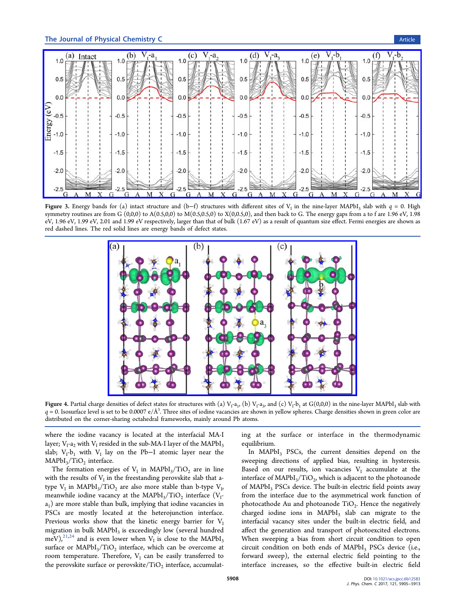<span id="page-3-0"></span>

**Figure 3.** Energy bands for (a) intact structure and (b-f) structures with different sites of V<sub>I</sub> in the nine-layer MAPbI<sub>3</sub> slab with  $q = 0$ . High symmetry routines are from G  $(0,0,0)$  to  $A(0.5,0,0)$  to  $M(0.5,0.5,0)$  to  $X(0,0.5,0)$ , and then back to G. The energy gaps from a to f are 1.96 eV, 1.98 eV, 1.96 eV, 1.99 eV, 2.01 and 1.99 eV respectively, larger than that of bulk (1.67 eV) as a result of quantum size effect. Fermi energies are shown as red dashed lines. The red solid lines are energy bands of defect states.



Figure 4. Partial charge densities of defect states for structures with (a)  $V_I$ -a<sub>1</sub>, (b)  $V_I$ -a<sub>3</sub>, and (c)  $V_I$ -b<sub>1</sub> at G(0,0,0) in the nine-layer MAPbI<sub>3</sub> slab with  $q$  = 0. Isosurface level is set to be 0.0007 e/Å $^3$ . Three sites of iodine vacancies are shown in yellow spheres. Charge densities shown in green color are distributed on the corner-sharing octahedral frameworks, mainly around Pb atoms.

where the iodine vacancy is located at the interfacial MA-I layer;  $V_I-a_2$  with  $V_I$  resided in the sub-MA-I layer of the MAPbI<sub>3</sub> slab;  $V_1$ -b<sub>1</sub> with  $V_1$  lay on the Pb−I atomic layer near the  $MAPbI<sub>3</sub>/TiO<sub>2</sub>$  interface.

The formation energies of  $V<sub>I</sub>$  in MAPbI<sub>3</sub>/TiO<sub>2</sub> are in line with the results of  $V<sub>I</sub>$  in the freestanding perovskite slab that atype  $V_I$  in MAPbI<sub>3</sub>/TiO<sub>2</sub> are also more stable than b-type  $V_I$ , meanwhile iodine vacancy at the MAPbI<sub>3</sub>/TiO<sub>2</sub> interface  $(V<sub>I</sub>$  $a_1$ ) are more stable than bulk, implying that iodine vacancies in PSCs are mostly located at the heterojunction interface. Previous works show that the kinetic energy barrier for  $V<sub>I</sub>$ migration in bulk  $MAPbI<sub>3</sub>$  is exceedingly low (several hundred meV),  $^{21,24}$  and is even lower when V<sub>I</sub> is close to the MAPbI<sub>3</sub> surface or  $MAPbI_3/TiO_2$  interface, which can be overcome at room [temp](#page-7-0)erature. Therefore,  $V<sub>I</sub>$  can be easily transferred to the perovskite surface or perovskite/TiO<sub>2</sub> interface, accumulating at the surface or interface in the thermodynamic equilibrium.

In  $MAPbI<sub>3</sub> PSCs$ , the current densities depend on the sweeping directions of applied bias, resulting in hysteresis. Based on our results, ion vacancies  $V_I$  accumulate at the interface of  $MAPbI_3/TiO_2$ , which is adjacent to the photoanode of MAPbI<sub>3</sub> PSCs device. The built-in electric field points away from the interface due to the asymmetrical work function of photocathode Au and photoanode  $TiO<sub>2</sub>$ . Hence the negatively charged iodine ions in  $MAPbI<sub>3</sub>$  slab can migrate to the interfacial vacancy sites under the built-in electric field, and affect the generation and transport of photoexcited electrons. When sweeping a bias from short circuit condition to open circuit condition on both ends of MAPbI<sub>3</sub> PSCs device (i.e., forward sweep), the external electric field pointing to the interface increases, so the effective built-in electric field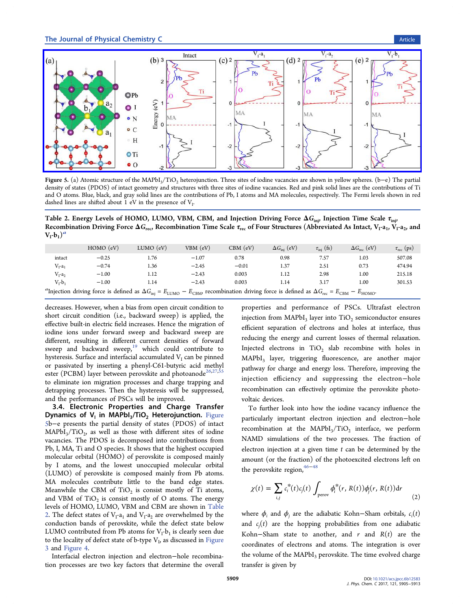<span id="page-4-0"></span>

Figure 5. (a) Atomic structure of the MAPbI3/TiO2 heterojunction. Three sites of iodine vacancies are shown in yellow spheres. (b−e) The partial [density of states \(PDOS\) of intact geometry and structures with three sites of iodine vacancies. Red and pink solid lines are the contributions of Ti](http://pubs.acs.org/action/showImage?doi=10.1021/acs.jpcc.6b12583&iName=master.img-005.jpg&w=503&h=159) and O atoms. Blue, black, and gray solid lines are the contributions of Pb, I atoms and MA molecules, respectively. The Fermi levels shown in red dashed lines are shifted about 1 eV in the presence of  $V<sub>I</sub>$ .

Table 2. Energy Levels of HOMO, LUMO, VBM, CBM, and Injection Driving Force  $\Delta G_{\text{inj}}$ , Injection Time Scale  $\tau_{\text{inj}}$ Recombination Driving Force  $\Delta G_{\text{rec}}$ , Recombination Time Scale  $\tau_{\text{rec}}$  of Four Structures (Abbreviated As Intact, V<sub>I</sub>-a<sub>1</sub>, V<sub>I</sub>-a<sub>2</sub>, and  $V_I-b_I)^a$ 

|                                                                                                                                                                                                            | $HOMO$ $(eV)$ | $LUMO$ $(eV)$ | VBM (eV) | $CBM$ (eV) | $\Delta G_{\text{ini}}$ (eV) | $\tau_{\text{inj}}$ (fs) | $\Delta G_{\text{rec}}$ (eV) | $\tau_{\text{rec}}$ (ps) |
|------------------------------------------------------------------------------------------------------------------------------------------------------------------------------------------------------------|---------------|---------------|----------|------------|------------------------------|--------------------------|------------------------------|--------------------------|
| intact                                                                                                                                                                                                     | $-0.25$       | 1.76          | $-1.07$  | 0.78       | 0.98                         | 7.57                     | 1.03                         | 507.08                   |
| $V_I-a_I$                                                                                                                                                                                                  | $-0.74$       | 1.36          | $-2.45$  | $-0.01$    | 1.37                         | 2.51                     | 0.73                         | 474.94                   |
| $V_{\rm r}$ -a <sub>2</sub>                                                                                                                                                                                | $-1.00$       | 1.12          | $-2.43$  | 0.003      | 1.12                         | 2.98                     | 1.00                         | 215.18                   |
| $V_r-b_1$                                                                                                                                                                                                  | $-1.00$       | 1.14          | $-2.43$  | 0.003      | 1.14                         | 3.17                     | 1.00                         | 301.53                   |
| "Injection driving force is defined as $\Delta G_{\text{inj}} = E_{\text{LUMO}} - E_{\text{CBM}}$ , recombination driving force is defined as $\Delta G_{\text{rec}} = E_{\text{CBM}} - E_{\text{HOMO}}$ . |               |               |          |            |                              |                          |                              |                          |

decreases. However, when a bias from open circuit condition to short circuit condition (i.e., backward sweep) is applied, the effective built-in electric field increases. Hence the migration of iodine ions under forward sweep and backward sweep are different, resulting in different current densities of forward sweep and backward sweep, $19$  which could contribute to hysteresis. Surface and interfacial accumulated  $V<sub>I</sub>$  can be pinned or passivated by inserting a [ph](#page-7-0)enyl-C61-butyric acid methyl ester (PCBM) layer between perovskite and photoanode<sup>26,27,55</sup> to eliminate ion migration processes and charge trapping and detrapping processes. Then the hysteresis will be supp[resse](#page-7-0)[d,](#page-8-0) and the performances of PSCs will be improved.

3.4. Electronic Properties and Charge Transfer Dynamics of  $V_1$  in MAPbI<sub>3</sub>/TiO<sub>2</sub> Heterojunction. Figure 5b−e presents the partial density of states (PDOS) of intact  $MAPbI<sub>3</sub>/TiO<sub>2</sub>$ , as well as those with different sites of iodine vacancies. The PDOS is decomposed into contributions from Pb, I, MA, Ti and O species. It shows that the highest occupied molecular orbital (HOMO) of perovskite is composed mainly by I atoms, and the lowest unoccupied molecular orbital (LUMO) of perovskite is composed mainly from Pb atoms. MA molecules contribute little to the band edge states. Meanwhile the CBM of  $TiO<sub>2</sub>$  is consist mostly of Ti atoms, and VBM of  $TiO<sub>2</sub>$  is consist mostly of O atoms. The energy levels of HOMO, LUMO, VBM and CBM are shown in Table 2. The defect states of  $V<sub>I</sub>-a<sub>1</sub>$  and  $V<sub>I</sub>-a<sub>2</sub>$  are overwhelmed by the conduction bands of perovskite, while the defect state below LUMO contributed from Pb atoms for  $V_I-b_1$  is clearly seen due to the locality of defect state of b-type  $V<sub>j</sub>$ , as discussed in Figure 3 and Figure 4.

Interfacial electron injection and electron−hole reco[mbina](#page-3-0)[ti](#page-3-0)on p[rocesses](#page-3-0) are two key factors that determine the overall properties and performance of PSCs. Ultrafast electron injection from  $MAPbI<sub>3</sub>$  layer into  $TiO<sub>2</sub>$  semiconductor ensures efficient separation of electrons and holes at interface, thus reducing the energy and current losses of thermal relaxation. Injected electrons in  $TiO<sub>2</sub>$  slab recombine with holes in MAPbI<sub>3</sub> layer, triggering fluorescence, are another major pathway for charge and energy loss. Therefore, improving the injection efficiency and suppressing the electron−hole recombination can effectively optimize the perovskite photovoltaic devices.

To further look into how the iodine vacancy influence the particularly important electron injection and electron−hole recombination at the  $MAPbI_3/TiO_2$  interface, we perform NAMD simulations of the two processes. The fraction of electron injection at a given time  $t$  can be determined by the amount (or the fraction) of the photoexcited electrons left on the perovskite region,<sup>46−48</sup>

$$
\chi(t) = \sum_{i,j} c_i^*(t) c_j(t) \int_{\text{perov}} \phi_i^*(r, R(t)) \phi_j(r, R(t)) dr \tag{2}
$$

where  $\phi_i$  and  $\phi_j$  are the adiabatic Kohn–Sham orbitals,  $c_i(t)$ and  $c_j(t)$  are the hopping probabilities from one adiabatic Kohn–Sham state to another, and r and  $R(t)$  are the coordinates of electrons and atoms. The integration is over the volume of the  $MAPbI<sub>3</sub>$  perovskite. The time evolved charge transfer is given by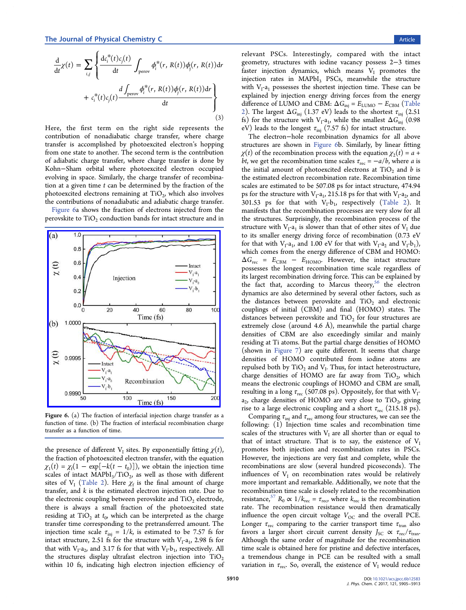$$
\frac{\mathrm{d}}{\mathrm{d}t}\chi(t) = \sum_{i,j} \left\{ \frac{\mathrm{d}c_i^*(t)c_j(t)}{\mathrm{d}t} \int_{\text{perov}} \phi_i^*(r, R(t))\phi_j(r, R(t))\mathrm{d}r + c_i^*(t)c_j(t) \frac{\mathrm{d}\int_{\text{perov}} \phi_i^*(r, R(t))\phi_j(r, R(t))\mathrm{d}r}{\mathrm{d}t} \right\}
$$
\n(3)

Here, the first term on the right side represents the contribution of nonadiabatic charge transfer, where charge transfer is accomplished by photoexcited electron's hopping from one state to another. The second term is the contribution of adiabatic charge transfer, where charge transfer is done by Kohn−Sham orbital where photoexcited electron occupied evolving in space. Similarly, the charge transfer of recombination at a given time  $t$  can be determined by the fraction of the photoexcited electrons remaining at  $TiO<sub>2</sub>$ , which also involves the contributions of nonadiabatic and adiabatic charge transfer.

Figure 6a shows the fraction of electrons injected from the perovskite to  $TiO<sub>2</sub>$  conduction bands for intact structure and in



Figure 6. [\(a\) The fraction of interfacial injection charge transfer as](http://pubs.acs.org/action/showImage?doi=10.1021/acs.jpcc.6b12583&iName=master.img-006.jpg&w=227&h=232) a function of time. (b) The fraction of interfacial recombination charge transfer as a function of time.

the presence of different  $V<sub>I</sub>$  sites. By exponentially fitting  $\chi(t)$ , the fraction of photoexcited electron transfer, with the equation  $\chi_1(t) = \chi_f(1 - \exp[-k(t - t_0)])$ , we obtain the injection time scales of intact  $MAPbI_3/TiO_2$ , as well as those with different sites of  $V_I$  (Table 2). Here  $\chi_f$  is the final amount of charge transfer, and  $k$  is the estimated electron injection rate. Due to the electroni[c couplin](#page-4-0)g between perovskite and  $TiO<sub>2</sub>$  electrode, there is always a small fraction of the photoexcited state residing at TiO<sub>2</sub> at  $t_0$ , which can be interpreted as the charge transfer time corresponding to the pretransferred amount. The injection time scale  $\tau_{\text{inj}} = 1/k$ , is estimated to be 7.57 fs for intact structure, 2.51 fs for the structure with  $V<sub>1</sub>$ -a<sub>1</sub>, 2.98 fs for that with  $V_1-a_2$ , and 3.17 fs for that with  $V_1-b_1$ , respectively. All the structures display ultrafast electron injection into  $TiO<sub>2</sub>$ within 10 fs, indicating high electron injection efficiency of relevant PSCs. Interestingly, compared with the intact geometry, structures with iodine vacancy possess 2−3 times faster injection dynamics, which means  $V_I$  promotes the injection rates in  $MAPbI<sub>3</sub>$  PSCs, meanwhile the structure with  $V_{I}$ -a<sub>1</sub> possesses the shortest injection time. These can be explained by injection energy driving forces from the energy difference of LUMO and CBM:  $\Delta G_{\text{inj}} = E_{\text{LUMO}} - E_{\text{CBM}}$  (Table 2). The largest  $\Delta G_{\text{inj}}$  (1.37 eV) leads to the shortest  $\tau_{\text{inj}}$  (2.51 fs) for the structure with  $V_I$ -a<sub>1</sub>, while the smallest  $\Delta G_{\text{inj}}$  [\(0.98](#page-4-0)) [eV](#page-4-0)) leads to the longest  $\tau_{\text{inj}}$  (7.57 fs) for intact structure.

The electron−hole recombination dynamics for all above structures are shown in Figure 6b. Similarly, by linear fitting  $\chi(t)$  of the recombination process with the equation  $\chi_2(t) = a +$ *bt*, we get the recombination time scales  $\tau_{\text{rec}} = -a/b$ , where *a* is the initial amount of photoexcited electrons at  $TiO<sub>2</sub>$  and b is the estimated electron recombination rate. Recombination time scales are estimated to be 507.08 ps for intact structure, 474.94 ps for the structure with  $V_1-a_1$ , 215.18 ps for that with  $V_1-a_2$ , and 301.53 ps for that with  $V_1-b_1$ , respectively (Table 2). It manifests that the recombination processes are very slow for all the structures. Surprisingly, the recombination p[rocess of](#page-4-0) the structure with  $V_1$ -a<sub>1</sub> is slower than that of other sites of  $V_1$  due to its smaller energy driving force of recombination (0.73 eV for that with  $V_1$ -a<sub>1</sub>, and 1.00 eV for that with  $V_1$ -a<sub>2</sub> and  $V_1$ -b<sub>1</sub>), which comes from the energy difference of CBM and HOMO:  $\Delta G_{\text{rec}}$  =  $E_{\text{CBM}}$  –  $E_{\text{HOMO}}$ . However, the intact structure possesses the longest recombination time scale regardless of its largest recombination driving force. This can be explained by the fact that, according to Marcus theory,<sup>56</sup> the electron dynamics are also determined by several other factors, such as the dist[a](#page-8-0)nces between perovskite and  $TiO<sub>2</sub>$  and electronic couplings of initial (CBM) and final (HOMO) states. The distances between perovskite and  $TiO<sub>2</sub>$  for four structures are extremely close (around 4.6 Å), meanwhile the partial charge densities of CBM are also exceedingly similar and mainly residing at Ti atoms. But the partial charge densities of HOMO (shown in Figure 7) are quite different. It seems that charge densities of HOMO contributed from iodine atoms are repulsed both by  $TiO<sub>2</sub>$  and  $V<sub>I</sub>$ . Thus, for intact heterostructure, charge densities of HOMO are far away from  $TiO<sub>2</sub>$ , which means the electronic couplings of HOMO and CBM are small, resulting in a long  $\tau_{\text{rec}}$  (507.08 ps). Oppositely, for that with  $V_{I}$  $a_2$ , charge densities of HOMO are very close to TiO<sub>2</sub>, giving rise to a large electronic coupling and a short  $\tau_{\text{rec}}$  (215.18 ps).

Comparing  $\tau_{\text{inj}}$  and  $\tau_{\text{rec}}$  among four structures, we can see the following: (1) Injection time scales and recombination time scales of the structures with  $V_I$  are all shorter than or equal to that of intact structure. That is to say, the existence of  $V<sub>I</sub>$ promotes both injection and recombination rates in PSCs. However, the injections are very fast and complete, while the recombinations are slow (several hundred picoseconds). The influences of  $V_I$  on recombination rates would be relatively more important and remarkable. Additionally, we note that the recombination time scale is closely related to the recombination resistance,<sup>57</sup>  $R_0 \propto 1/k_{\text{rec}} = \tau_{\text{rec}}$ , where  $k_{\text{rec}}$  is the recombination rate. The recombination resistance would then dramatically influence [th](#page-8-0)e open circuit voltage  $V_{OC}$  and the overall PCE. Longer  $\tau_{\text{rec}}$  comparing to the carrier transport time  $\tau_{\text{tran}}$  also favors a larger short circuit current density  $J_{SC} \propto \tau_{rec} / \tau_{tran}$ . Although the same order of magnitude for the recombination time scale is obtained here for pristine and defective interfaces, a tremendous change in PCE can be resulted with a small variation in  $\tau_{\text{rec}}$ . So, overall, the existence of  $V_I$  would reduce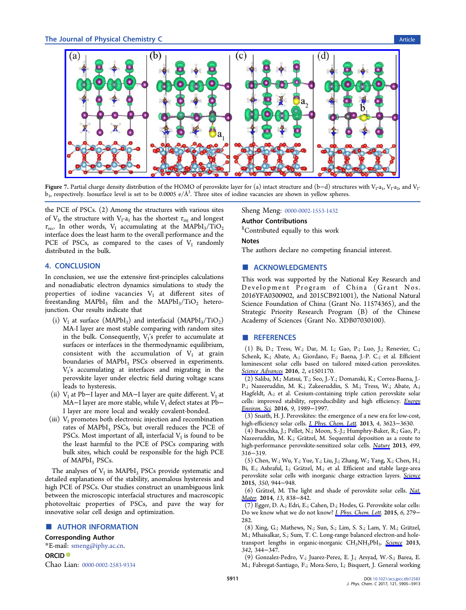<span id="page-6-0"></span>

**Figure** 7. [Partial charge density distribution of the HOMO of perovskite layer for \(a\) intact structure and \(b](http://pubs.acs.org/action/showImage?doi=10.1021/acs.jpcc.6b12583&iName=master.img-007.jpg&w=444&h=167)−d) structures with V<sub>I</sub>-a<sub>1</sub>, V<sub>I</sub>-a<sub>2</sub>, and V<sub>I</sub> $b_1$ , respectively. Isosurface level is set to be 0.0005 e/ $\AA^3$ . Three sites of iodine vacancies are shown in yellow spheres.

the PCE of PSCs. (2) Among the structures with various sites of  $V_{\nu}$  the structure with  $V_{\nu}$ -a<sub>1</sub> has the shortest  $\tau_{\text{ini}}$  and longest  $\tau_{\text{rec}}$ . In other words, V<sub>I</sub> accumulating at the MAPbI<sub>3</sub>/TiO<sub>2</sub> interface does the least harm to the overall performance and the PCE of PSCs, as compared to the cases of  $V_I$  randomly distributed in the bulk.

## 4. CONCLUSION

In conclusion, we use the extensive first-principles calculations and nonadiabatic electron dynamics simulations to study the properties of iodine vacancies  $V_I$  at different sites of freestanding MAPbI<sub>3</sub> film and the MAPbI<sub>3</sub>/TiO<sub>2</sub> heterojunction. Our results indicate that

- (i)  $V_I$  at surface (MAPbI<sub>3</sub>) and interfacial (MAPbI<sub>3</sub>/TiO<sub>2</sub>) MA-I layer are most stable comparing with random sites in the bulk. Consequently,  $V_1$ 's prefer to accumulate at surfaces or interfaces in the thermodynamic equilibrium, consistent with the accumulation of  $V_I$  at grain boundaries of  $MAPbI<sub>3</sub>$  PSCs observed in experiments.  $V<sub>1</sub>'s$  accumulating at interfaces and migrating in the perovskite layer under electric field during voltage scans leads to hysteresis.
- (ii)  $V<sub>I</sub>$  at Pb−I layer and MA−I layer are quite different.  $V<sub>I</sub>$  at MA $-I$  layer are more stable, while  $V<sub>I</sub>$  defect states at Pb $-$ I layer are more local and weakly covalent-bonded.
- (iii)  $V<sub>I</sub>$  promotes both electronic injection and recombination rates of MAPbI<sub>3</sub> PSCs, but overall reduces the PCE of PSCs. Most important of all, interfacial  $V_I$  is found to be the least harmful to the PCE of PSCs comparing with bulk sites, which could be responsible for the high PCE of MAPbI<sub>3</sub> PSCs.

The analyses of  $V_I$  in MAPbI<sub>3</sub> PSCs provide systematic and detailed explanations of the stability, anomalous hysteresis and high PCE of PSCs. Our studies construct an unambiguous link between the microscopic interfacial structures and macroscopic photovoltaic properties of PSCs, and pave the way for innovative solar cell design and optimization.

## ■ AUTHOR INFORMATION

### Corresponding Author

\*E-mail: smeng@iphy.ac.cn. ORCID<sup>®</sup> Chao Lian: [0000-0002-2583-9](mailto:smeng@iphy.ac.cn)334 Sheng Meng: 0000-0002-1553-1432

#### Author Contributions

§ Contributed [equally to this work](http://orcid.org/0000-0002-1553-1432)

Notes

The authors declare no competing financial interest.

## ■ ACKNOWLEDGMENTS

This work was supported by the National Key Research and Development Program of China (Grant Nos. 2016YFA0300902, and 2015CB921001), the National Natural Science Foundation of China (Grant No. 11574365), and the Strategic Priority Research Program (B) of the Chinese Academy of Sciences (Grant No. XDB07030100).

### ■ REFERENCES

(1) Bi, D.; Tress, W.; Dar, M. I.; Gao, P.; Luo, J.; Renevier, C.; Schenk, K.; Abate, A.; Giordano, F.; Baena, J.-P. C.; et al. Efficient luminescent solar cells based on tailored mixed-cation perovskites. Science Advances 2016, 2, e1501170.

(2) Saliba, M.; Matsui, T.; Seo, J.-Y.; Domanski, K.; Correa-Baena, J.- P.; Nazeeruddin, M. K.; Zakeeruddin, S. M.; Tress, W.; Abate, A.; [Hagfeldt,](http://pubs.acs.org/action/showLinks?pmid=26767196&crossref=10.1126%2Fsciadv.1501170) [A.;](http://pubs.acs.org/action/showLinks?pmid=26767196&crossref=10.1126%2Fsciadv.1501170) [et](http://pubs.acs.org/action/showLinks?pmid=26767196&crossref=10.1126%2Fsciadv.1501170) al. Cesium-containing triple cation perovskite solar cells: improved stability, reproducibility and high efficiency. *Energy* Environ. Sci. 2016, 9, 1989−1997.

(3) Snaith, H. J. Perovskites: the emergence of a new era for lo[w-cost,](http://pubs.acs.org/action/showLinks?pmid=27478500&crossref=10.1039%2FC5EE03874J&coi=1%3ACAS%3A528%3ADC%252BC28XksVSjt78%253D) [high-efficien](http://pubs.acs.org/action/showLinks?pmid=27478500&crossref=10.1039%2FC5EE03874J&coi=1%3ACAS%3A528%3ADC%252BC28XksVSjt78%253D)cy solar cells. *J. Phys. Chem. Lett.* 2013, 4, 3623-3630.

(4) Burschka, J.; Pellet, N.; Moon, S.-J.; Humphry-Baker, R.; Gao, P.; Nazeeruddin, M. K.; Grätzel, M. Sequential deposition as a route to high-performance perovsk[ite-sensitized](http://pubs.acs.org/action/showLinks?system=10.1021%2Fjz4020162&coi=1%3ACAS%3A528%3ADC%252BC3sXhsF2ls7rK) [solar](http://pubs.acs.org/action/showLinks?system=10.1021%2Fjz4020162&coi=1%3ACAS%3A528%3ADC%252BC3sXhsF2ls7rK) cells. Nature 2013, 499, 316−319.

(5) Chen, W.; Wu, Y.; Yue, Y.; Liu, J.; Zhang, W.; Yang, X.; Chen, H.; Bi, E.; Ashraful, I.; Grätzel, M.; et al. Efficient an[d](http://pubs.acs.org/action/showLinks?pmid=23842493&crossref=10.1038%2Fnature12340&coi=1%3ACAS%3A528%3ADC%252BC3sXhtFShtbzL) [stabl](http://pubs.acs.org/action/showLinks?pmid=23842493&crossref=10.1038%2Fnature12340&coi=1%3ACAS%3A528%3ADC%252BC3sXhtFShtbzL)e large-area perovskite solar cells with inorganic charge extraction layers. Science 2015, 350, 944−948.

(6) Grätzel, M. The light and shade of perovskite solar cells. [Nat.](http://pubs.acs.org/action/showLinks?pmid=26516198&crossref=10.1126%2Fscience.aad1015&coi=1%3ACAS%3A528%3ADC%252BC2MXhvVeqsr%252FF) Mater. 2014, 13, 838−842.

(7) Egger, D. A.; Edri, E.; Cahen, D.; Hodes, G. Perovskite solar [cells:](http://pubs.acs.org/action/showLinks?pmid=25141800&crossref=10.1038%2Fnmat4065) [Do we](http://pubs.acs.org/action/showLinks?pmid=25141800&crossref=10.1038%2Fnmat4065) know what we do not know? *J. Phys. Chem. Lett.* 2015, 6, 279− 282.

(8) Xing, G.; Mathews, N.; Sun, S.; Lim, S. S.; Lam, Y. M.; Grätzel, M.; Mhaisalkar, S.; Sum, T. C. Long-[range](http://pubs.acs.org/action/showLinks?system=10.1021%2Fjz502726b&coi=1%3ACAS%3A528%3ADC%252BC2MXks1KntQ%253D%253D) [balanced](http://pubs.acs.org/action/showLinks?system=10.1021%2Fjz502726b&coi=1%3ACAS%3A528%3ADC%252BC2MXks1KntQ%253D%253D) [ele](http://pubs.acs.org/action/showLinks?system=10.1021%2Fjz502726b&coi=1%3ACAS%3A528%3ADC%252BC2MXks1KntQ%253D%253D)ctron-and holetransport lengths in organic-inorganic CH<sub>3</sub>NH<sub>3</sub>PbI<sub>3</sub>. Science 2013, 342, 344−347.

(9) Gonzalez-Pedro, V.; Juarez-Perez, E. J.; Arsyad, W.-S.; Barea, E. M.; Fabregat-Santiago, F.; Mora-Sero, I.; Bisquert, J. Ge[neral](http://pubs.acs.org/action/showLinks?pmid=24136965&crossref=10.1126%2Fscience.1243167&coi=1%3ACAS%3A528%3ADC%252BC3sXhs1Wltr3F) [w](http://pubs.acs.org/action/showLinks?pmid=24136965&crossref=10.1126%2Fscience.1243167&coi=1%3ACAS%3A528%3ADC%252BC3sXhs1Wltr3F)orking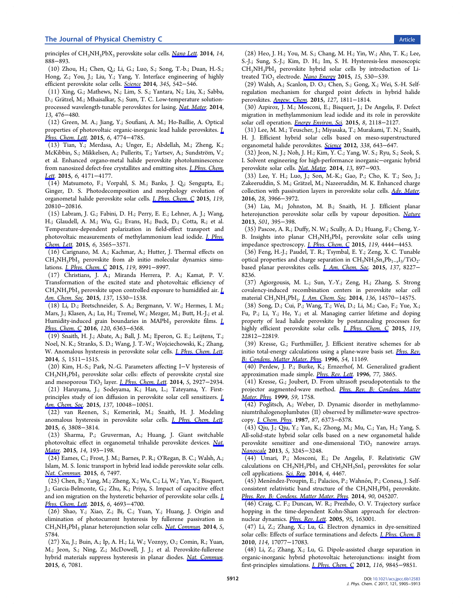<span id="page-7-0"></span>principles of CH<sub>3</sub>NH<sub>3</sub>PbX<sub>3</sub> perovskite solar cells. Nano Lett. 2014, 14, 888−893.

(10) Zhou, H.; Chen, Q.; Li, G.; Luo, S.; Song[, T.-b.; Du](http://pubs.acs.org/action/showLinks?system=10.1021%2Fnl404252e&coi=1%3ACAS%3A528%3ADC%252BC2cXktlCktA%253D%253D)an, H.-S.; Hong, Z.; You, J.; Liu, Y.; Yang, Y. Interface engineering of highly efficient perovskite solar cells. Science 2014, 345, 542−546.

(11) Xing, G.; Mathews, N.; Lim, S. S.; Yantara, N.; Liu, X.; Sabba, D.; Grätzel, M.; Mhaisalkar, S.; [Sum, T](http://pubs.acs.org/action/showLinks?pmid=25082698&crossref=10.1126%2Fscience.1254050&coi=1%3ACAS%3A528%3ADC%252BC2cXht1aksrrO). C. Low-temperature solutionprocessed wavelength-tunable perovskites for lasing. Nat. Mater. 2014, 13, 476−480.

(12) Green, M. A.; Jiang, Y.; Soufiani, A. M.; Ho-Baillie, A. Optical properties of photovoltaic organic-inorganic lead ha[lide](http://pubs.acs.org/action/showLinks?pmid=24633346&crossref=10.1038%2Fnmat3911&coi=1%3ACAS%3A528%3ADC%252BC2cXktlGltbk%253D) [perovsk](http://pubs.acs.org/action/showLinks?pmid=24633346&crossref=10.1038%2Fnmat3911&coi=1%3ACAS%3A528%3ADC%252BC2cXktlGltbk%253D)ites. J. Phys. Chem. Lett. 2015, 6, 4774-4785.

(13) Tian, Y.; Merdasa, A.; Unger, E.; Abdellah, M.; Zheng, K.; McKibbin, S.; Mikkelsen, A.; Pullerits, T.; Yartsev, A.; Sundström, [V.;](http://pubs.acs.org/action/showLinks?system=10.1021%2Facs.jpclett.5b01865&coi=1%3ACAS%3A528%3ADC%252BC2MXhvVWru77J) [et](http://pubs.acs.org/action/showLinks?system=10.1021%2Facs.jpclett.5b01865&coi=1%3ACAS%3A528%3ADC%252BC2MXhvVWru77J) [al.](http://pubs.acs.org/action/showLinks?system=10.1021%2Facs.jpclett.5b01865&coi=1%3ACAS%3A528%3ADC%252BC2MXhvVWru77J) [Enhanced](http://pubs.acs.org/action/showLinks?system=10.1021%2Facs.jpclett.5b01865&coi=1%3ACAS%3A528%3ADC%252BC2MXhvVWru77J) organo-metal halide perovskite photoluminescence from nanosized defect-free crystallites and emitting sites. *J. Phys. Chem.* Lett. 2015, 6, 4171−4177.

(14) Matsumoto, F.; Vorpahl, S. M.; Banks, J. Q.; Sengupta, E.; [Gin](http://pubs.acs.org/action/showLinks?system=10.1021%2Facs.jpclett.5b02033&coi=1%3ACAS%3A528%3ADC%252BC2MXhsF2ltL7O)ger, D. S. Photodecomposition and morphology [evolution](http://pubs.acs.org/action/showLinks?system=10.1021%2Facs.jpclett.5b02033&coi=1%3ACAS%3A528%3ADC%252BC2MXhsF2ltL7O) [of](http://pubs.acs.org/action/showLinks?system=10.1021%2Facs.jpclett.5b02033&coi=1%3ACAS%3A528%3ADC%252BC2MXhsF2ltL7O) organometal halide perovskite solar cells. J. Phys. Chem. C 2015, 119, 20810−20816.

(15) Labram, J. G.; Fabini, D. H.; Perry, E. E.; Lehner, A. J.; Wang, H.; Glaudell, A. M.; Wu, G.; Evans, H.; [Buck,](http://pubs.acs.org/action/showLinks?system=10.1021%2Facs.jpcc.5b06269&coi=1%3ACAS%3A528%3ADC%252BC2MXhtlOnur3O) [D.;](http://pubs.acs.org/action/showLinks?system=10.1021%2Facs.jpcc.5b06269&coi=1%3ACAS%3A528%3ADC%252BC2MXhtlOnur3O) [Cotta](http://pubs.acs.org/action/showLinks?system=10.1021%2Facs.jpcc.5b06269&coi=1%3ACAS%3A528%3ADC%252BC2MXhtlOnur3O), R.; et al. Temperature-dependent polarization in field-effect transport and photovoltaic measurements of methylammonium lead iodide. J. Phys. Chem. Lett. 2015, 6, 3565−3571.

(16) Carignano, M. A.; Kachmar, A.; Hutter, J. Thermal eff[ects on](http://pubs.acs.org/action/showLinks?system=10.1021%2Facs.jpclett.5b01669&coi=1%3ACAS%3A528%3ADC%252BC2MXhsVWnurjE)  $CH<sub>3</sub>NH<sub>3</sub>PbI<sub>3</sub>$  perovskite from ab initio molecular dynamics simulations. J. Phys. Chem. C 2015, 119, 8991−8997.

(17) Christians, J. A.; Miranda Herrera, P. A.; Kamat, P. V. Transfo[rmation of the](http://pubs.acs.org/action/showLinks?system=10.1021%2Fjp510568n&coi=1%3ACAS%3A528%3ADC%252BC2MXjtlChtLY%253D) excited state and photovoltaic efficiency of CH<sub>3</sub>NH<sub>3</sub>PbI<sub>3</sub> perovskite upon controlled exposure to humidified air. *L* Am. Chem. Soc. 2015, 137, 1530-1538.

(18) Li, D.; Bretschneider, S. A.; Bergmann, V. W.; Hermes, I. M.; [Mars, J.; Klasen](http://pubs.acs.org/action/showLinks?system=10.1021%2Fja511132a&coi=1%3ACAS%3A528%3ADC%252BC2MXptFShsg%253D%253D), A.; Lu, H.; Tremel, W.; Mezger, M.; Butt, H.-J.; et [al.](http://pubs.acs.org/action/showLinks?system=10.1021%2Fja511132a&coi=1%3ACAS%3A528%3ADC%252BC2MXptFShsg%253D%253D) Humidity-induced grain boundaries in MAPbI<sub>3</sub> perovskite films. *L* Phys. Chem. C 2016, 120, 6363–6368.

(19) Snaith, H. J.; Abate, A.; Ball, J. M.; Eperon, G. E.; Leijtens, T.; [Noel, N. K.; St](http://pubs.acs.org/action/showLinks?system=10.1021%2Facs.jpcc.6b00335&coi=1%3ACAS%3A528%3ADC%252BC28Xjs1Wis74%253D)ranks, S. D.; Wang, J. T.-W.; Wojciechowski, K.; Zhan[g,](http://pubs.acs.org/action/showLinks?system=10.1021%2Facs.jpcc.6b00335&coi=1%3ACAS%3A528%3ADC%252BC28Xjs1Wis74%253D) W. Anomalous hysteresis in perovskite solar cells. *J. Phys. Chem. Lett.* 2014, 5, 1511−1515.

(20) Kim, H.-S.; Park, N.-G. Parameters affecting I−V hysteresis of  $CH<sub>3</sub>NH<sub>3</sub>PbI<sub>3</sub>$  per[ovskite](http://pubs.acs.org/action/showLinks?system=10.1021%2Fjz500113x&coi=1%3ACAS%3A528%3ADC%252BC2cXkslSlur4%253D) solar cells: effects of perovskite [crystal](http://pubs.acs.org/action/showLinks?system=10.1021%2Fjz500113x&coi=1%3ACAS%3A528%3ADC%252BC2cXkslSlur4%253D) [size](http://pubs.acs.org/action/showLinks?system=10.1021%2Fjz500113x&coi=1%3ACAS%3A528%3ADC%252BC2cXkslSlur4%253D) and mesoporous TiO<sub>2</sub> layer. *J. Phys. Chem. Lett.* 2014, 5, 2927-2934.

(21) Haruyama, J.; Sodeyama, K.; Han, L.; Tateyama, Y. Firstprinciples study of ion diffus[ion in perovskite s](http://pubs.acs.org/action/showLinks?system=10.1021%2Fjz501392m&coi=1%3ACAS%3A528%3ADC%252BC2cXhtleqtrrM)olar cell sensitizers. *L* Am. Chem. Soc. 2015, 137, 10048-10051.

(22) van Reenen, S.; Kemerink, M.; Snaith, H. J. Modeli[ng](http://pubs.acs.org/action/showLinks?system=10.1021%2Fjacs.5b03615&coi=1%3ACAS%3A528%3ADC%252BC2MXhtlSmt7fP) [anomalous hys](http://pubs.acs.org/action/showLinks?system=10.1021%2Fjacs.5b03615&coi=1%3ACAS%3A528%3ADC%252BC2MXhtlSmt7fP)teresis in perovskite solar cells. *J. Phys. Chem. Lett.* 2015, 6, 3808−3814.

(23) Sharma, P.; Gruverman, A.; Huang, [J. Giant switchable](http://pubs.acs.org/action/showLinks?system=10.1021%2Facs.jpclett.5b01645&coi=1%3ACAS%3A528%3ADC%252BC2MXhsVKls7fP) photovoltaic effect in organometal trihalide perovskite devices. Nat. Mater. 2015, 14, 193−198.

(24) Eames, C.; Frost, J. M.; Barnes, P. R.; O'Regan, B. C.; Wals[h, A.;](http://pubs.acs.org/action/showLinks?pmid=25485985&coi=1%3ACAS%3A528%3ADC%252BC2cXitVCks77I) Islam, M. S. Ionic transport in hybrid lead iodide perovskite solar cells. [Nat.](http://pubs.acs.org/action/showLinks?pmid=25485985&coi=1%3ACAS%3A528%3ADC%252BC2cXitVCks77I) [C](http://pubs.acs.org/action/showLinks?pmid=25485985&coi=1%3ACAS%3A528%3ADC%252BC2cXitVCks77I)ommun. 2015, 6, 7497.

(25) Chen, B.; Yang, M.; Zheng, X.; Wu, C.; Li, W.; Yan, Y.; Bisquert, [J.; Garcia-Belm](http://pubs.acs.org/action/showLinks?pmid=26105623&crossref=10.1038%2Fncomms8497&coi=1%3ACAS%3A528%3ADC%252BC2MXhtF2ktr3L)onte, G.; Zhu, K.; Priya, S. Impact of capacitive effect and ion migration on the hysteretic behavior of perovskite solar cells. *I*. Phys. Chem. Lett. 2015, 6, 4693-4700.

(26) Shao, Y.; Xiao, Z.; Bi, C.; Yuan, Y.; Huang, J. Origin a[nd](http://pubs.acs.org/action/showLinks?system=10.1021%2Facs.jpclett.5b02229&coi=1%3ACAS%3A528%3ADC%252BC2MXhslynsrvM) [elimination of p](http://pubs.acs.org/action/showLinks?system=10.1021%2Facs.jpclett.5b02229&coi=1%3ACAS%3A528%3ADC%252BC2MXhslynsrvM)hotocurrent hysteresis by fullerene passivation in CH<sub>3</sub>NH<sub>3</sub>PbI<sub>3</sub> planar heterojunction solar cells. Nat. Commun. 2014, 5, 5784.

(27) Xu, J.; Buin, A.; Ip, A. H.; Li, W.; Vozny[y, O.; Comin,](http://pubs.acs.org/action/showLinks?pmid=25503258&crossref=10.1038%2Fncomms6784&coi=1%3ACAS%3A280%3ADC%252BC2MvgtFClsA%253D%253D) R.; Yuan, M.; Jeon, S.; Ning, Z.; McDowell, J. J.; et al. Perovskite-fullerene hybrid materials suppress hysteresis in planar diodes. Nat. Commun. 2015, 6, 7081.

(28) Heo, J. H.; You, M. S.; Chang, M. H.; Yin, W.; Ahn, T. K.; Lee, S.-J.; Sung, S.-J.; Kim, D. H.; Im, S. H. Hysteresis-less mesoscopic CH<sub>3</sub>NH<sub>3</sub>PbI<sub>3</sub> perovskite hybrid solar cells by introduction of Litreated TiO<sub>2</sub> electrode. Nano Energy 2015, 15, 530-539.

(29) Walsh, A.; Scanlon, D. O.; Chen, S.; Gong, X.; Wei, S.-H. Selfregulation mechanism [for charged](http://pubs.acs.org/action/showLinks?crossref=10.1016%2Fj.nanoen.2015.05.014&coi=1%3ACAS%3A528%3ADC%252BC2MXptFGiurk%253D) point defects in hybrid halide perovskites. Angew. Chem. 2015, 127, 1811−1814.

(30) Azpiroz, J. M.; Mosconi, E.; Bisquert, J.; De Angelis, F. Defect migration i[n methylammo](http://pubs.acs.org/action/showLinks?crossref=10.1002%2Fange.201409740)nium lead iodide and its role in perovskite solar cell operation. Energy Environ. Sci. 2015, 8, 2118-2127.

(31) Lee, M. M.; Teuscher, J.; Miyasaka, T.; Murakami, T. N.; Snaith, H. J. Efficient hy[brid solar cells ba](http://pubs.acs.org/action/showLinks?crossref=10.1039%2FC5EE01265A&coi=1%3ACAS%3A528%3ADC%252BC2MXpt1Sltb4%253D)sed on meso-superstructured organometal halide perovskites. Science 2012, 338, 643−647.

(32) Jeon, N. J.; Noh, J. H.; Kim, Y. C.; Yang, W. S.; Ryu, S.; Seok, S. I. Solvent engineering for high-[perform](http://pubs.acs.org/action/showLinks?pmid=23042296&crossref=10.1126%2Fscience.1228604&coi=1%3ACAS%3A528%3ADC%252BC38XhsFygtbrL)ance inorganic−organic hybrid perovskite solar cells. Nat. Mater. 2014, 13, 897-903.

(33) Lee, Y. H.; Luo, J.; Son, M.-K.; Gao, P.; Cho, K. T.; Seo, J.; Zakeeruddin, S. M.; Grätzel, M.; Nazeeruddin, M. K. Enhanced charge collection with passivation layers in perovskite solar cells. Adv. Mater. 2016, 28, 3966−3972.

(34) Liu, M.; Johnston, M. B.; Snaith, H. J. Effic[ient planar](http://pubs.acs.org/action/showLinks?pmid=26928481&crossref=10.1002%2Fadma.201505140&coi=1%3ACAS%3A528%3ADC%252BC28XjtlOjtbo%253D) heterojunction perovskite solar cells by vapour deposition. Nature 2013, 501, 395−398.

(35) Pascoe, A. R.; Duffy, N. W.; Scully, A. D.; Huang, F.; Cheng, Y. B. Insights into planar CH<sub>3</sub>NH<sub>3</sub>PbI<sub>3</sub> perovskite solar cells [using](http://pubs.acs.org/action/showLinks?pmid=24025775&crossref=10.1038%2Fnature12509&coi=1%3ACAS%3A528%3ADC%252BC3sXhsVWrurbE) impedance spectroscopy. J. Phys. Chem. C 2015, 119, 4444−4453.

(36) Feng, H.-J.; Paudel, T. R.; Tsymbal, E. Y.; Zeng, X. C. Tunable optical properties and ch[arge separation in](http://pubs.acs.org/action/showLinks?system=10.1021%2Fjp509896u&coi=1%3ACAS%3A528%3ADC%252BC2MXislSgsLc%253D)  $CH_3NH_3Sn_xPb_{1-x}I_3/TiO_2$ based planar perovskites cells. *J. Am. Chem. Soc.* 2015, 137, 8227− 8236.

(37) Agiorgousis, M. L.; Su[n, Y.-Y.; Zeng, H.](http://pubs.acs.org/action/showLinks?system=10.1021%2Fjacs.5b04015&coi=1%3ACAS%3A528%3ADC%252BC2MXptVGmtLk%253D); Zhang, S. Strong covalency-induced recombination centers in perovskite solar cell material CH<sub>3</sub>NH<sub>3</sub>PbI<sub>3</sub>. *J. Am. Chem. Soc.* 2014, 136, 14570-14575.

(38) Song, D.; Cui, P.; Wang, T.; Wei, D.; Li, M.; Cao, F.; Yue, X.; Fu, P.; Li, Y.; He, Y.; [et al. Managing](http://pubs.acs.org/action/showLinks?system=10.1021%2Fja5079305&coi=1%3ACAS%3A528%3ADC%252BC2cXhsFyjtbnE) carrier lifetime and doping property of lead halide perovskite by postannealing processes for highly efficient perovskite solar cells. *J. Phys. Chem. C* 2015, 119, 22812−22819.

(39) Kresse, G.; Furthmüller, J. Effi[cient iterative sche](http://pubs.acs.org/action/showLinks?system=10.1021%2Facs.jpcc.5b06859&coi=1%3ACAS%3A528%3ADC%252BC2MXhsFagtL7N)mes for ab initio total-energy calculations using a plane-wave basis set. *Phys. Rev.* B: Condens. Matter Mater. Phys. 1996, 54, 11169.

(40) Perdew, J. P.; Burke, K.; Ernzerhof, M. Generalize[d gradient](http://pubs.acs.org/action/showLinks?pmid=9984901&crossref=10.1103%2FPhysRevB.54.11169&coi=1%3ACAS%3A528%3ADyaK28Xms1Whu7Y%253D) approximation made simple. *Phys. Rev. Lett.* 1996, 77, 3865.

[\(41\)](http://pubs.acs.org/action/showLinks?pmid=9984901&crossref=10.1103%2FPhysRevB.54.11169&coi=1%3ACAS%3A528%3ADyaK28Xms1Whu7Y%253D) [Kresse,](http://pubs.acs.org/action/showLinks?pmid=9984901&crossref=10.1103%2FPhysRevB.54.11169&coi=1%3ACAS%3A528%3ADyaK28Xms1Whu7Y%253D) [G.;](http://pubs.acs.org/action/showLinks?pmid=9984901&crossref=10.1103%2FPhysRevB.54.11169&coi=1%3ACAS%3A528%3ADyaK28Xms1Whu7Y%253D) [Joubert,](http://pubs.acs.org/action/showLinks?pmid=9984901&crossref=10.1103%2FPhysRevB.54.11169&coi=1%3ACAS%3A528%3ADyaK28Xms1Whu7Y%253D) [D.](http://pubs.acs.org/action/showLinks?pmid=9984901&crossref=10.1103%2FPhysRevB.54.11169&coi=1%3ACAS%3A528%3ADyaK28Xms1Whu7Y%253D) [F](http://pubs.acs.org/action/showLinks?pmid=9984901&crossref=10.1103%2FPhysRevB.54.11169&coi=1%3ACAS%3A528%3ADyaK28Xms1Whu7Y%253D)rom ultrasoft pseudopotentials to the projector augmented-wave [method.](http://pubs.acs.org/action/showLinks?pmid=10062328&crossref=10.1103%2FPhysRevLett.77.3865&coi=1%3ACAS%3A528%3ADyaK28XmsVCgsbs%253D) Phys. Rev. B: Condens. Matter Mater. Phys. 1999, 59, 1758.

(42) Poglitsch, A.; Weber, D. Dynamic disorder in methylammo[niumtrihalo](http://pubs.acs.org/action/showLinks?crossref=10.1103%2FPhysRevB.59.1758&coi=1%3ACAS%3A528%3ADyaK1MXkt12nug%253D%253D)genoplumbates (II) observ[ed](http://pubs.acs.org/action/showLinks?crossref=10.1103%2FPhysRevB.59.1758&coi=1%3ACAS%3A528%3ADyaK1MXkt12nug%253D%253D) [by](http://pubs.acs.org/action/showLinks?crossref=10.1103%2FPhysRevB.59.1758&coi=1%3ACAS%3A528%3ADyaK1MXkt12nug%253D%253D) [millimeter-wave](http://pubs.acs.org/action/showLinks?crossref=10.1103%2FPhysRevB.59.1758&coi=1%3ACAS%3A528%3ADyaK1MXkt12nug%253D%253D) [spectros](http://pubs.acs.org/action/showLinks?crossref=10.1103%2FPhysRevB.59.1758&coi=1%3ACAS%3A528%3ADyaK1MXkt12nug%253D%253D)copy. J. Chem. Phys. 1987, 87, 6373−6378.

(43) Qiu, J.; Qiu, Y.; Yan, K.; Zhong, M.; Mu, C.; Yan, H.; Yang, S. All-solid-state hybrid solar cells based on a new organometal halide perov[skite](http://pubs.acs.org/action/showLinks?crossref=10.1063%2F1.453467&coi=1%3ACAS%3A528%3ADyaL1cXht1arsLo%253D) [sensitize](http://pubs.acs.org/action/showLinks?crossref=10.1063%2F1.453467&coi=1%3ACAS%3A528%3ADyaL1cXht1arsLo%253D)r and one-dimensional  $TiO<sub>2</sub>$  nanowire arrays. Nanoscale 2013, 5, 3245−3248.

(44) Umari, P.; Mosconi, E.; De Angelis, F. Relativistic GW [calculation](http://pubs.acs.org/action/showLinks?pmid=23508213&crossref=10.1039%2Fc3nr00218g&coi=1%3ACAS%3A528%3ADC%252BC3sXkslWgt7w%253D)s on  $CH_3NH_3PbI_3$  and  $CH_3NH_3SnI_3$  perovskites for solar cell applications. Sci. Rep. 2014, 4, 4467.

(45) Menéndez-Proupin, E.; Palacios, P.; Wahnón, P.; Conesa, J. Selfconsistent relativ[istic ban](http://pubs.acs.org/action/showLinks?pmid=24667758&crossref=10.1038%2Fsrep04467&coi=1%3ACAS%3A280%3ADC%252BC2crnt1yksQ%253D%253D)d structure of the  $CH<sub>3</sub>NH<sub>3</sub>PbI<sub>3</sub>$  perovskite. Phys. Rev. B: Condens. Matter Mater. Phys. 2014, 90, 045207.

(46) Craig, C. F.; Duncan, W. R.; Prezhdo, O. V. Trajectory surface [hopping in the time-dependent Kohn-Sh](http://pubs.acs.org/action/showLinks?crossref=10.1103%2FPhysRevB.90.045207)am approach for electronnuclear dynamics. Phys. Rev. Lett. 2005, 95, 163001.

(47) Li, Z.; Zhang, X.; Lu, G. Electron dynamics in dye-sensitized solar cells: Effects [of surface term](http://pubs.acs.org/action/showLinks?pmid=16241791&crossref=10.1103%2FPhysRevLett.95.163001&coi=1%3ACAS%3A528%3ADC%252BD2MXhtFajtr%252FJ)inations and defects. *J. Phys. Chem. B* 2010, 114, 17077−17083.

(48) Li, Z.; Zhang, X.; Lu, G. Dipole-assisted char[ge separation in](http://pubs.acs.org/action/showLinks?system=10.1021%2Fjp108590f&coi=1%3ACAS%3A528%3ADC%252BC3cXhsFaksbzN) organic-inorganic hybrid photovoltaic heterojunctions: insight from first-principles simulations. J. Phys. Chem. C 2012, 116, 9845−9851.